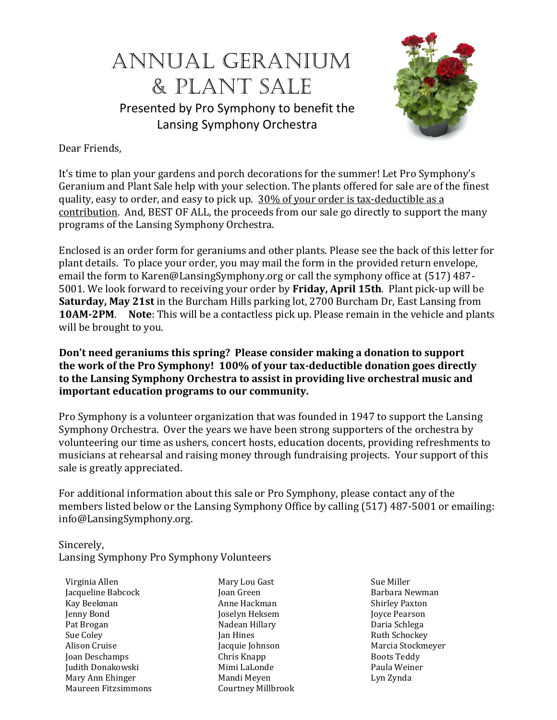# Annual Geranium & Plant Sale Presented by Pro Symphony to benefit the

Lansing Symphony Orchestra



Dear Friends,

It's time to plan your gardens and porch decorations for the summer! Let Pro Symphony's Geranium and Plant Sale help with your selection. The plants offered for sale are of the finest quality, easy to order, and easy to pick up. 30% of your order is tax-deductible as a contribution. And, BEST OF ALL, the proceeds from our sale go directly to support the many programs of the Lansing Symphony Orchestra.

Enclosed is an order form for geraniums and other plants. Please see the back of this letter for plant details. To place your order, you may mail the form in the provided return envelope, email the form to Karen@LansingSymphony.org or call the symphony office at (517) 487- 5001. We look forward to receiving your order by **Friday, April 15th**. Plant pick-up will be **Saturday, May 21st** in the Burcham Hills parking lot, 2700 Burcham Dr, East Lansing from **10AM-2PM**. **Note**: This will be a contactless pick up. Please remain in the vehicle and plants will be brought to you.

**Don't need geraniums this spring? Please consider making a donation to support the work of the Pro Symphony! 100% of your tax-deductible donation goes directly to the Lansing Symphony Orchestra to assist in providing live orchestral music and important education programs to our community.**

Pro Symphony is a volunteer organization that was founded in 1947 to support the Lansing Symphony Orchestra. Over the years we have been strong supporters of the orchestra by volunteering our time as ushers, concert hosts, education docents, providing refreshments to musicians at rehearsal and raising money through fundraising projects. Your support of this sale is greatly appreciated.

For additional information about this sale or Pro Symphony, please contact any of the members listed below or the Lansing Symphony Office by calling (517) 487-5001 or emailing: [info@LansingSymphony.org.](mailto:info@LansingSymphony.org)

Sincerely, Lansing Symphony Pro Symphony Volunteers

Virginia Allen Jacqueline Babcock Kay Beekman Jenny Bond Pat Brogan Sue Coley Alison Cruise Joan Deschamps Judith Donakowski Mary Ann Ehinger Maureen Fitzsimmons

Mary Lou Gast Joan Green Anne Hackman Joselyn Heksem Nadean Hillary Jan Hines Jacquie Johnson Chris Knapp Mimi LaLonde Mandi Meyen Courtney Millbrook Sue Miller Barbara Newman Shirley Paxton Joyce Pearson Daria Schlega Ruth Schockey Marcia Stockmeyer Boots Teddy Paula Weiner Lyn Zynda